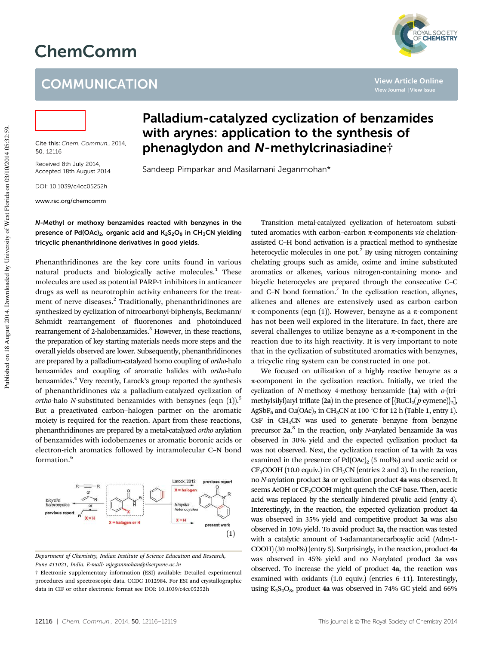# ChemComm

## **COMMUNICATION**



**View Article Online View Journal | View Issue**



Cite this: *Chem. Commun.,* 2014, 50, 12116

Received 8th July 2014, Accepted 18th August 2014

DOI: 10.1039/c4cc05252h

www.rsc.org/chemcomm

### Palladium-catalyzed cyclization of benzamides with arynes: application to the synthesis of phenaglydon and N-methylcrinasiadine†

Sandeep Pimparkar and Masilamani Jeganmohan\*

#### N-Methyl or methoxy benzamides reacted with benzynes in the presence of Pd(OAc)<sub>2</sub>, organic acid and  $K_2S_2O_8$  in CH<sub>3</sub>CN yielding tricyclic phenanthridinone derivatives in good yields.

Phenanthridinones are the key core units found in various natural products and biologically active molecules.<sup>1</sup> These molecules are used as potential PARP-1 inhibitors in anticancer drugs as well as neurotrophin activity enhancers for the treatment of nerve diseases.<sup>2</sup> Traditionally, phenanthridinones are synthesized by cyclization of nitrocarbonyl-biphenyls, Beckmann/ Schmidt rearrangement of fluorenones and photoinduced rearrangement of 2-halobenzamides.<sup>3</sup> However, in these reactions, the preparation of key starting materials needs more steps and the overall yields observed are lower. Subsequently, phenanthridinones are prepared by a palladium-catalyzed homo coupling of *ortho*-halo benzamides and coupling of aromatic halides with *ortho*-halo benzamides.<sup>4</sup> Very recently, Larock's group reported the synthesis of phenanthridinones *via* a palladium-catalyzed cyclization of *ortho*-halo *N*-substituted benzamides with benzynes (eqn (1)).<sup>5</sup> But a preactivated carbon–halogen partner on the aromatic moiety is required for the reaction. Apart from these reactions, phenanthridinones are prepared by a metal-catalyzed *ortho* arylation of benzamides with iodobenzenes or aromatic boronic acids or electron-rich aromatics followed by intramolecular C–N bond formation.<sup>6</sup>



*Department of Chemistry, Indian Institute of Science Education and Research, Pune 411021, India. E-mail: mjeganmohan@iiserpune.ac.in*

Transition metal-catalyzed cyclization of heteroatom substituted aromatics with carbon–carbon  $\pi$ -components *via* chelationassisted C–H bond activation is a practical method to synthesize heterocyclic molecules in one pot.<sup>7</sup> By using nitrogen containing chelating groups such as amide, oxime and imine substituted aromatics or alkenes, various nitrogen-containing mono- and bicyclic heterocycles are prepared through the consecutive C–C and C-N bond formation.<sup>7</sup> In the cyclization reaction, alkynes, alkenes and allenes are extensively used as carbon–carbon  $\pi$ -components (eqn (1)). However, benzyne as a  $\pi$ -component has not been well explored in the literature. In fact, there are several challenges to utilize benzyne as a  $\pi$ -component in the reaction due to its high reactivity. It is very important to note that in the cyclization of substituted aromatics with benzynes, a tricyclic ring system can be constructed in one pot.

We focused on utilization of a highly reactive benzyne as a  $\pi$ -component in the cyclization reaction. Initially, we tried the cyclization of *N*-methoxy 4-methoxy benzamide (1a) with *o*-(trimethylsilyl)aryl triflate (2a) in the presence of  $[\text{RuCl}_2(p\text{-symene})]_2]$ , AgSbF<sub>6</sub> and Cu(OAc)<sub>2</sub> in CH<sub>3</sub>CN at 100 °C for 12 h (Table 1, entry 1).  $CsF$  in  $CH<sub>3</sub>CN$  was used to generate benzyne from benzyne precursor 2a. 8 In the reaction, only *N*-arylated benzamide 3a was observed in 30% yield and the expected cyclization product 4a was not observed. Next, the cyclization reaction of 1a with 2a was examined in the presence of  $Pd(OAc)<sub>2</sub>$  (5 mol%) and acetic acid or  $CF<sub>3</sub>COOH$  (10.0 equiv.) in  $CH<sub>3</sub>CN$  (entries 2 and 3). In the reaction, no *N*-arylation product 3a or cyclization product 4a was observed. It seems AcOH or  $CF_3COOH$  might quench the CsF base. Then, acetic acid was replaced by the sterically hindered pivalic acid (entry 4). Interestingly, in the reaction, the expected cyclization product 4a was observed in 35% yield and competitive product 3a was also observed in 10% yield. To avoid product 3a, the reaction was tested with a catalytic amount of 1-adamantanecarboxylic acid (Adm-1- COOH) (30 mol%) (entry 5). Surprisingly, in the reaction, product 4a was observed in 45% yield and no *N*-arylated product 3a was observed. To increase the yield of product 4a, the reaction was examined with oxidants (1.0 equiv.) (entries 6–11). Interestingly, using  $K_2S_2O_8$ , product 4a was observed in 74% GC yield and 66%

<sup>†</sup> Electronic supplementary information (ESI) available: Detailed experimental procedures and spectroscopic data. CCDC 1012984. For ESI and crystallographic data in CIF or other electronic format see DOI: 10.1039/c4cc05252h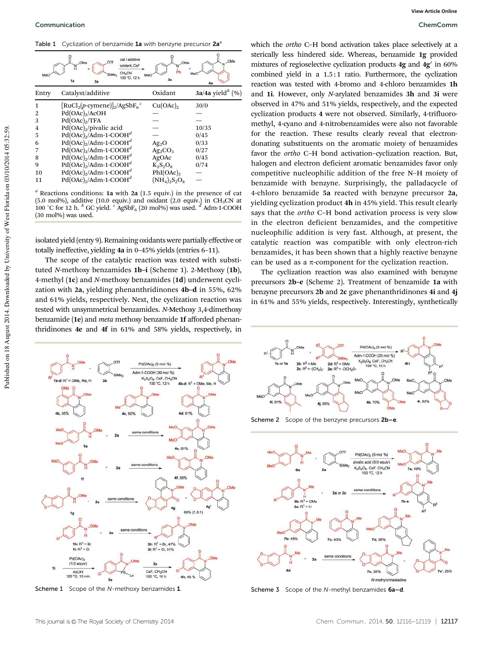Table 1 Cyclization of benzamide 1a with benzyne precursor 2a<sup>a</sup>

|       | cat / additive<br><b>OMe</b><br>oxidant, CsF<br>$CH_3CN$<br>SiMe <sub>3</sub><br>100 °C, 12 h<br>1a<br>2a | OM <sub>6</sub><br>MeO<br>3a | OMe                            |
|-------|-----------------------------------------------------------------------------------------------------------|------------------------------|--------------------------------|
| Entry | Catalyst/additive                                                                                         | Oxidant                      | $3a/4a$ yield <sup>b</sup> (%) |
| 1     | $[\text{RuCl}_2(p\text{-cymene})]_2/\text{AgSbF}_6{}^c$                                                   | Cu(OAc) <sub>2</sub>         | 30/0                           |
| 2     | Pd(OAc) <sub>2</sub> /ACOH                                                                                |                              |                                |
| 3     | Pd(OAc) <sub>2</sub> /TFA                                                                                 |                              |                                |
| 4     | $Pd(OAc)_{2}/pivalic$ acid                                                                                |                              | 10/35                          |
| 5     | $Pd(OAc)2/Adm-1-COOHd$                                                                                    |                              | 0/45                           |
| 6     | $Pd(OAc)2/Adm-1-COOHd$                                                                                    | Ag <sub>2</sub> O            | 0/33                           |
|       | $Pd(OAc)2/Adm-1-COOHd$                                                                                    | $Ag_2CO_3$                   | 0/27                           |
| 8     | $Pd(OAc)_{2}/Adm-1-COOH^{d}$                                                                              | AgOAc                        | 0/45                           |
| 9     | $Pd(OAc)2/Adm-1-COOHd$                                                                                    | $K_2S_2O_8$                  | 0/74                           |
| 10    | $Pd(OAc)2/Adm-1-COOHd$                                                                                    | $Phi(OAc)_2$                 |                                |
| 11    | $Pd(OAc)2/Adm-1-COOHd$                                                                                    | $(NH_4)_2S_2O_8$             |                                |

*<sup>a</sup>* Reactions conditions: 1a with 2a (1.5 equiv.) in the presence of cat (5.0 mol%), additive (10.0 equiv.) and oxidant (2.0 equiv.) in CH<sub>3</sub>CN at 100 °C for 12 h. <sup>*b*</sup> GC yield. <sup>*c*</sup> AgSbF<sub>6</sub> (20 mol%) was used. <sup>*d*</sup> Adm-1-COOH (30 mol%) was used.

isolated yield (entry 9). Remaining oxidants were partially effective or totally ineffective, yielding 4a in 0–45% yields (entries 6–11).

The scope of the catalytic reaction was tested with substituted *N*-methoxy benzamides 1b–i (Scheme 1). 2-Methoxy (1b), 4-methyl (1c) and *N*-methoxy benzamides (1d) underwent cyclization with 2a, yielding phenanthridinones 4b–d in 55%, 62% and 61% yields, respectively. Next, the cyclization reaction was tested with unsymmetrical benzamides. *N*-Methoxy 3,4-dimethoxy benzamide (1e) and *meta* methoxy benzamide 1f afforded phenanthridinones 4e and 4f in 61% and 58% yields, respectively, in



 $2a$ CsF, CH<sub>3</sub>CN

100 °C. 10 h

4h, 45 %

Pd(OAc)  $(1.0$  equiv

AcOH<br>120 °C, 15 min

which the *ortho* C–H bond activation takes place selectively at a sterically less hindered side. Whereas, benzamide 1g provided mixtures of regioselective cyclization products 4g and 4g' in 60% combined yield in a 1.5:1 ratio. Furthermore, the cyclization reaction was tested with 4-bromo and 4-chloro benzamides 1h and 1i. However, only *N*-arylated benzamides 3h and 3i were observed in 47% and 51% yields, respectively, and the expected cyclization products 4 were not observed. Similarly, 4-trifluoromethyl, 4-cyano and 4-nitrobenzamides were also not favorable for the reaction. These results clearly reveal that electrondonating substituents on the aromatic moiety of benzamides favor the *ortho* C–H bond activation–cyclization reaction. But, halogen and electron deficient aromatic benzamides favor only competitive nucleophilic addition of the free N–H moiety of benzamide with benzyne. Surprisingly, the palladacycle of 4-chloro benzamide 5a reacted with benzyne precursor 2a, yielding cyclization product 4h in 45% yield. This result clearly says that the *ortho* C–H bond activation process is very slow in the electron deficient benzamides, and the competitive nucleophilic addition is very fast. Although, at present, the catalytic reaction was compatible with only electron-rich benzamides, it has been shown that a highly reactive benzyne can be used as a  $\pi$ -component for the cyclization reaction.

The cyclization reaction was also examined with benzyne precursors 2b–e (Scheme 2). Treatment of benzamide 1a with benzyne precursors 2b and 2c gave phenanthridinones 4i and 4j in 61% and 55% yields, respectively. Interestingly, synthetically



Scheme 2 Scope of the benzyne precursors 2b-e.



Scheme 1 Scope of the N-methoxy benzamides 1. Scheme 3 Scope of the N-methyl benzamides 6a-d.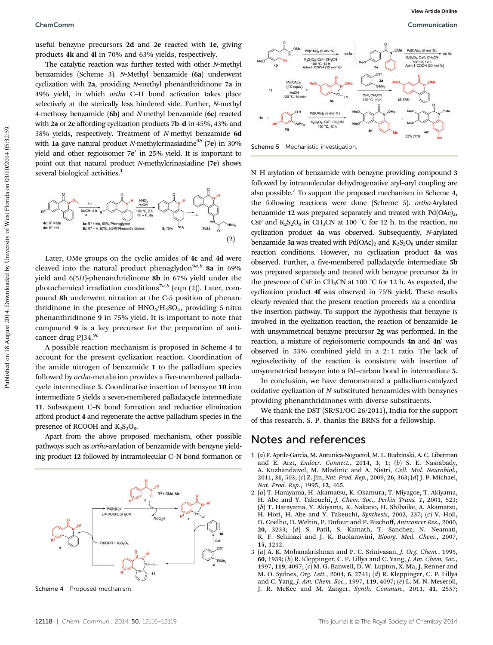useful benzyne precursors 2d and 2e reacted with 1e, giving products 4k and 4l in 70% and 63% yields, respectively.

The catalytic reaction was further tested with other *N*-methyl benzamides (Scheme 3). *N*-Methyl benzamide (6a) underwent cyclization with 2a, providing *N*-methyl phenanthridinone 7a in 49% yield, in which *ortho* C–H bond activation takes place selectively at the sterically less hindered side. Further, *N*-methyl 4-methoxy benzamide (6b) and *N*-methyl benzamide (6c) reacted with 2a or 2c affording cyclization products 7b–d in 45%, 43% and 38% yields, respectively. Treatment of *N*-methyl benzamide 6d with 1a gave natural product *N*-methylcrinasiadine<sup>9b</sup> (7e) in 30% yield and other regioisomer 7e' in 25% yield. It is important to point out that natural product *N*-methylcrinasiadine (7e) shows several biological activities.<sup>1</sup>



Later, OMe groups on the cyclic amides of 4c and 4d were cleaved into the natural product phenaglydon<sup>9a,b</sup> 8a in 69% yield and 6(5*H*)-phenanthridinone 8b in 67% yield under the photochemical irradiation conditions<sup>7a,b</sup> (eqn (2)). Later, compound 8b underwent nitration at the C-5 position of phenanthridinone in the presence of  $HNO<sub>3</sub>/H<sub>2</sub>SO<sub>4</sub>$ , providing 5-nitro phenanthridinone 9 in 75% yield. It is important to note that compound 9 is a key precursor for the preparation of anticancer drug PJ34.9*<sup>c</sup>*

A possible reaction mechanism is proposed in Scheme 4 to account for the present cyclization reaction. Coordination of the amide nitrogen of benzamide 1 to the palladium species followed by *ortho*-metalation provides a five-membered palladacycle intermediate 5. Coordinative insertion of benzyne 10 into intermediate 5 yields a seven-membered palladacycle intermediate 11. Subsequent C–N bond formation and reductive elimination afford product 4 and regenerate the active palladium species in the presence of RCOOH and  $K_2S_2O_8$ .

Apart from the above proposed mechanism, other possible pathways such as *ortho*-arylation of benzamide with benzyne yielding product 12 followed by intramolecular C–N bond formation or





Scheme 5 Mechanistic investigation.

N–H arylation of benzamide with benzyne providing compound 3 followed by intramolecular dehydrogenative aryl–aryl coupling are also possible. $7$  To support the proposed mechanism in Scheme 4, the following reactions were done (Scheme 5). *ortho*-Arylated benzamide 12 was prepared separately and treated with  $Pd(OAc)<sub>2</sub>$ , CsF and  $K_2S_2O_8$  in CH<sub>3</sub>CN at 100 °C for 12 h. In the reaction, no cyclization product 4a was observed. Subsequently, *N*-arylated benzamide 3a was treated with  $Pd(OAc)_{2}$  and  $K_{2}S_{2}O_{8}$  under similar reaction conditions. However, no cyclization product 4a was observed. Further, a five-membered palladacycle intermediate 5b was prepared separately and treated with benzyne precursor 2a in the presence of CsF in CH<sub>3</sub>CN at 100  $^{\circ}$ C for 12 h. As expected, the cyclization product 4f was observed in 75% yield. These results clearly revealed that the present reaction proceeds *via* a coordinative insertion pathway. To support the hypothesis that benzyne is involved in the cyclization reaction, the reaction of benzamide 1e with unsymmetrical benzyne precursor 2g was performed. In the reaction, a mixture of regioisomeric compounds  $4n$  and  $4n'$  was observed in 53% combined yield in a 2:1 ratio. The lack of regioselectivity of the reaction is consistent with insertion of unsymmetrical benzyne into a Pd–carbon bond in intermediate 5.

In conclusion, we have demonstrated a palladium-catalyzed oxidative cyclization of *N*-substituted benzamides with benzynes providing phenanthridinones with diverse substituents.

We thank the DST (SR/S1/OC-26/2011), India for the support of this research. S. P. thanks the BRNS for a fellowship.

#### Notes and references

- 1 (*a*) F. Aprile-Garcia, M. Antunica-Noguerol, M. L. Budzinski, A. C. Liberman and E. Arzt, *Endocr. Connect.*, 2014, 3, 1; (*b*) S. E. Nasrabady, A. Kuzhandaivel, M. Mladinic and A. Nistri, *Cell. Mol. Neurobiol.*, 2011, 31, 503; (*c*) Z. Jin, *Nat. Prod. Rep.*, 2009, 26, 363; (*d*) J. P. Michael, *Nat. Prod. Rep.*, 1995, 12, 465.
- 2 (*a*) T. Harayama, H. Akamatsu, K. Okamura, T. Miyagoe, T. Akiyama, H. Abe and Y. Takeuchi, *J. Chem. Soc., Perkin Trans. 1*, 2001, 523; (*b*) T. Harayama, Y. Akiyama, K. Nakano, H. Shibaike, A. Akamatsu, H. Hori, H. Abe and Y. Takeuchi, *Synthesis*, 2002, 237; (*c*) V. Holl, D. Coelho, D. Weltin, P. Dufour and P. Bischoff, *Anticancer Res.*, 2000, 20, 3233; (*d*) S. Patil, S. Kamath, T. Sanchez, N. Neamati, R. F. Schinazi and J. K. Buolamwini, *Bioorg. Med. Chem.*, 2007, 15, 1212.
- 3 (*a*) A. K. Mohanakrishnan and P. C. Srinivasan, *J. Org. Chem.*, 1995, 60, 1939; (*b*) R. Kleppinger, C. P. Lillya and C. Yang, *J. Am. Chem. Soc.*, 1997, 119, 4097; (*c*) M. G. Banwell, D. W. Lupton, X. Ma, J. Renner and M. O. Sydnes, *Org. Lett.*, 2004, 6, 2741; (*d*) R. Kleppinger, C. P. Lillya and C. Yang, *J. Am. Chem. Soc.*, 1997, 119, 4097; (*e*) L. M. N. Meseroll, Scheme 4 Proposed mechanism.  $J. R. McKee$  and M. Zanger, *Synth. Commun.*, 2011, 41, 2557;